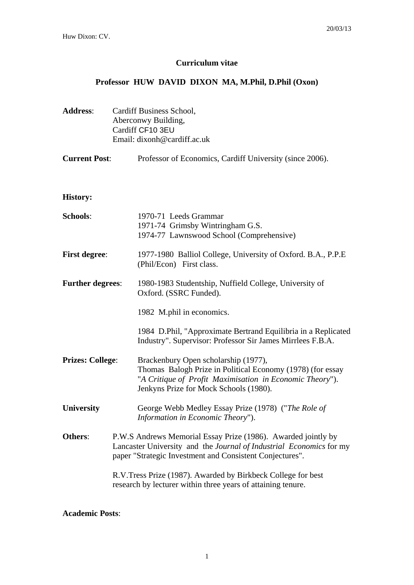## **Curriculum vitae**

# **Professor HUW DAVID DIXON MA, M.Phil, D.Phil (Oxon)**

| <b>Address:</b>         | Cardiff Business School,<br>Aberconwy Building,<br>Cardiff CF10 3EU<br>Email: dixonh@cardiff.ac.uk                                                                                               |                                                                                                                                                                                                          |  |
|-------------------------|--------------------------------------------------------------------------------------------------------------------------------------------------------------------------------------------------|----------------------------------------------------------------------------------------------------------------------------------------------------------------------------------------------------------|--|
| <b>Current Post:</b>    |                                                                                                                                                                                                  | Professor of Economics, Cardiff University (since 2006).                                                                                                                                                 |  |
| <b>History:</b>         |                                                                                                                                                                                                  |                                                                                                                                                                                                          |  |
| <b>Schools:</b>         |                                                                                                                                                                                                  | 1970-71 Leeds Grammar<br>1971-74 Grimsby Wintringham G.S.<br>1974-77 Lawnswood School (Comprehensive)                                                                                                    |  |
| <b>First degree:</b>    |                                                                                                                                                                                                  | 1977-1980 Balliol College, University of Oxford. B.A., P.P.E<br>(Phil/Econ) First class.                                                                                                                 |  |
| <b>Further degrees:</b> |                                                                                                                                                                                                  | 1980-1983 Studentship, Nuffield College, University of<br>Oxford. (SSRC Funded).                                                                                                                         |  |
|                         |                                                                                                                                                                                                  | 1982 M.phil in economics.                                                                                                                                                                                |  |
|                         |                                                                                                                                                                                                  | 1984 D.Phil, "Approximate Bertrand Equilibria in a Replicated<br>Industry". Supervisor: Professor Sir James Mirrlees F.B.A.                                                                              |  |
| <b>Prizes: College:</b> |                                                                                                                                                                                                  | Brackenbury Open scholarship (1977),<br>Thomas Balogh Prize in Political Economy (1978) (for essay<br>"A Critique of Profit Maximisation in Economic Theory").<br>Jenkyns Prize for Mock Schools (1980). |  |
| <b>University</b>       |                                                                                                                                                                                                  | George Webb Medley Essay Prize (1978) ("The Role of<br>Information in Economic Theory").                                                                                                                 |  |
| Others:                 | P.W.S Andrews Memorial Essay Prize (1986). Awarded jointly by<br>Lancaster University and the Journal of Industrial Economics for my<br>paper "Strategic Investment and Consistent Conjectures". |                                                                                                                                                                                                          |  |
|                         |                                                                                                                                                                                                  | R.V.Tress Prize (1987). Awarded by Birkbeck College for best<br>research by lecturer within three years of attaining tenure.                                                                             |  |

**Academic Posts**: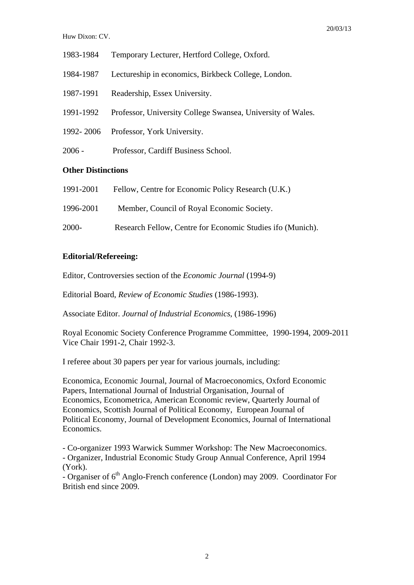- 1983-1984 Temporary Lecturer, Hertford College, Oxford.
- 1984-1987 Lectureship in economics, Birkbeck College, London.
- 1987-1991 Readership, Essex University.
- 1991-1992 Professor, University College Swansea, University of Wales.
- 1992- 2006 Professor, York University.
- 2006 Professor, Cardiff Business School.

### **Other Distinctions**

| 1991-2001 | Fellow, Centre for Economic Policy Research (U.K.)         |
|-----------|------------------------------------------------------------|
| 1996-2001 | Member, Council of Royal Economic Society.                 |
| 2000-     | Research Fellow, Centre for Economic Studies ifo (Munich). |

#### **Editorial/Refereeing:**

Editor, Controversies section of the *Economic Journal* (1994-9)

Editorial Board, *Review of Economic Studies* (1986-1993).

Associate Editor. *Journal of Industrial Economics*, (1986-1996)

Royal Economic Society Conference Programme Committee, 1990-1994, 2009-2011 Vice Chair 1991-2, Chair 1992-3.

I referee about 30 papers per year for various journals, including:

Economica, Economic Journal, Journal of Macroeconomics, Oxford Economic Papers, International Journal of Industrial Organisation, Journal of Economics, Econometrica, American Economic review, Quarterly Journal of Economics, Scottish Journal of Political Economy, European Journal of Political Economy, Journal of Development Economics, Journal of International Economics.

- Co-organizer 1993 Warwick Summer Workshop: The New Macroeconomics.

- Organizer, Industrial Economic Study Group Annual Conference, April 1994 (York).

- Organiser of  $6<sup>th</sup>$  Anglo-French conference (London) may 2009. Coordinator For British end since 2009.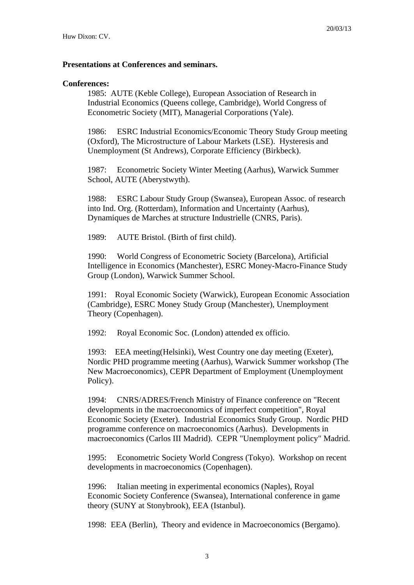#### **Presentations at Conferences and seminars.**

### **Conferences:**

1985: AUTE (Keble College), European Association of Research in Industrial Economics (Queens college, Cambridge), World Congress of Econometric Society (MIT), Managerial Corporations (Yale).

1986: ESRC Industrial Economics/Economic Theory Study Group meeting (Oxford), The Microstructure of Labour Markets (LSE). Hysteresis and Unemployment (St Andrews), Corporate Efficiency (Birkbeck).

1987: Econometric Society Winter Meeting (Aarhus), Warwick Summer School, AUTE (Aberystwyth).

1988: ESRC Labour Study Group (Swansea), European Assoc. of research into Ind. Org. (Rotterdam), Information and Uncertainty (Aarhus), Dynamiques de Marches at structure Industrielle (CNRS, Paris).

1989: AUTE Bristol. (Birth of first child).

1990: World Congress of Econometric Society (Barcelona), Artificial Intelligence in Economics (Manchester), ESRC Money-Macro-Finance Study Group (London), Warwick Summer School.

1991: Royal Economic Society (Warwick), European Economic Association (Cambridge), ESRC Money Study Group (Manchester), Unemployment Theory (Copenhagen).

1992: Royal Economic Soc. (London) attended ex officio.

1993: EEA meeting(Helsinki), West Country one day meeting (Exeter), Nordic PHD programme meeting (Aarhus), Warwick Summer workshop (The New Macroeconomics), CEPR Department of Employment (Unemployment Policy).

1994: CNRS/ADRES/French Ministry of Finance conference on "Recent developments in the macroeconomics of imperfect competition", Royal Economic Society (Exeter). Industrial Economics Study Group. Nordic PHD programme conference on macroeconomics (Aarhus). Developments in macroeconomics (Carlos III Madrid). CEPR "Unemployment policy" Madrid.

1995: Econometric Society World Congress (Tokyo). Workshop on recent developments in macroeconomics (Copenhagen).

1996: Italian meeting in experimental economics (Naples), Royal Economic Society Conference (Swansea), International conference in game theory (SUNY at Stonybrook), EEA (Istanbul).

1998: EEA (Berlin), Theory and evidence in Macroeconomics (Bergamo).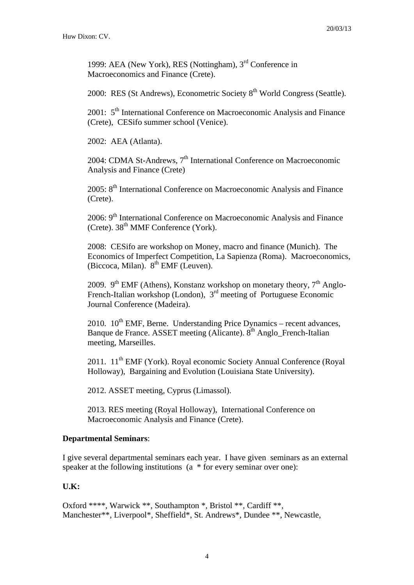1999: AEA (New York), RES (Nottingham), 3rd Conference in Macroeconomics and Finance (Crete).

2000: RES (St Andrews), Econometric Society 8<sup>th</sup> World Congress (Seattle).

2001:  $5<sup>th</sup>$  International Conference on Macroeconomic Analysis and Finance (Crete), CESifo summer school (Venice).

2002: AEA (Atlanta).

2004: CDMA St-Andrews, 7<sup>th</sup> International Conference on Macroeconomic Analysis and Finance (Crete)

 $2005$ :  $8<sup>th</sup>$  International Conference on Macroeconomic Analysis and Finance (Crete).

2006: 9<sup>th</sup> International Conference on Macroeconomic Analysis and Finance (Crete).  $38<sup>th</sup>$  MMF Conference (York).

2008: CESifo are workshop on Money, macro and finance (Munich). The Economics of Imperfect Competition, La Sapienza (Roma). Macroeconomics, (Biccoca, Milan). 8<sup>th</sup> EMF (Leuven).

2009. 9<sup>th</sup> EMF (Athens), Konstanz workshop on monetary theory,  $7<sup>th</sup>$  Anglo-French-Italian workshop (London), 3<sup>rd</sup> meeting of Portuguese Economic Journal Conference (Madeira).

2010.  $10^{th}$  EMF, Berne. Understanding Price Dynamics – recent advances, Banque de France. ASSET meeting (Alicante).  $8<sup>th</sup>$  Anglo French-Italian meeting, Marseilles.

2011. 11<sup>th</sup> EMF (York). Royal economic Society Annual Conference (Royal Holloway), Bargaining and Evolution (Louisiana State University).

2012. ASSET meeting, Cyprus (Limassol).

2013. RES meeting (Royal Holloway), International Conference on Macroeconomic Analysis and Finance (Crete).

#### **Departmental Seminars**:

I give several departmental seminars each year. I have given seminars as an external speaker at the following institutions (a  $*$  for every seminar over one):

## **U.K:**

Oxford \*\*\*\*, Warwick \*\*, Southampton \*, Bristol \*\*, Cardiff \*\*, Manchester\*\*, Liverpool\*, Sheffield\*, St. Andrews\*, Dundee \*\*, Newcastle,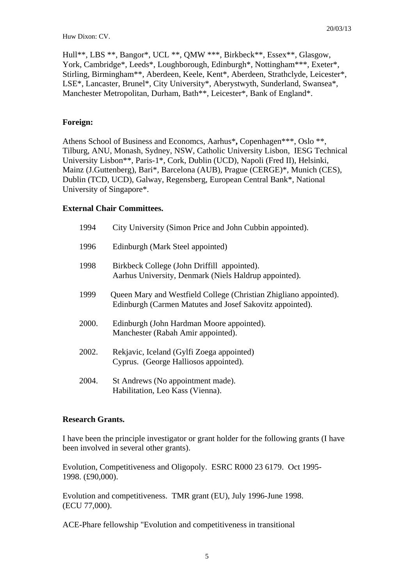Hull\*\*, LBS \*\*, Bangor\*, UCL \*\*, QMW \*\*\*, Birkbeck\*\*, Essex\*\*, Glasgow, York, Cambridge\*, Leeds\*, Loughborough, Edinburgh\*, Nottingham\*\*\*, Exeter\*, Stirling, Birmingham\*\*, Aberdeen, Keele, Kent\*, Aberdeen, Strathclyde, Leicester\*, LSE\*, Lancaster, Brunel\*, City University\*, Aberystwyth, Sunderland, Swansea\*, Manchester Metropolitan, Durham, Bath\*\*, Leicester\*, Bank of England\*.

### **Foreign:**

Athens School of Business and Economcs, Aarhus\***,** Copenhagen\*\*\*, Oslo \*\*, Tilburg, ANU, Monash, Sydney, NSW, Catholic University Lisbon, IESG Technical University Lisbon\*\*, Paris-1\*, Cork, Dublin (UCD), Napoli (Fred II), Helsinki, Mainz (J.Guttenberg), Bari\*, Barcelona (AUB), Prague (CERGE)\*, Munich (CES), Dublin (TCD, UCD), Galway, Regensberg, European Central Bank\*, National University of Singapore\*.

### **External Chair Committees.**

| 1994  | City University (Simon Price and John Cubbin appointed).                                                                      |
|-------|-------------------------------------------------------------------------------------------------------------------------------|
| 1996  | Edinburgh (Mark Steel appointed)                                                                                              |
| 1998  | Birkbeck College (John Driffill appointed).<br>Aarhus University, Denmark (Niels Haldrup appointed).                          |
| 1999  | Queen Mary and Westfield College (Christian Zhigliano appointed).<br>Edinburgh (Carmen Matutes and Josef Sakovitz appointed). |
| 2000. | Edinburgh (John Hardman Moore appointed).<br>Manchester (Rabah Amir appointed).                                               |
| 2002. | Rekjavic, Iceland (Gylfi Zoega appointed)<br>Cyprus. (George Halliosos appointed).                                            |
| 2004. | St Andrews (No appointment made).<br>Habilitation, Leo Kass (Vienna).                                                         |

#### **Research Grants.**

I have been the principle investigator or grant holder for the following grants (I have been involved in several other grants).

Evolution, Competitiveness and Oligopoly. ESRC R000 23 6179. Oct 1995- 1998. (£90,000).

Evolution and competitiveness. TMR grant (EU), July 1996-June 1998. (ECU 77,000).

ACE-Phare fellowship "Evolution and competitiveness in transitional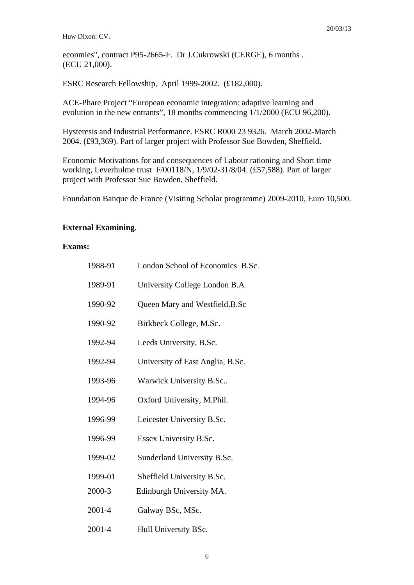econmies", contract P95-2665-F. Dr J.Cukrowski (CERGE), 6 months . (ECU 21,000).

ESRC Research Fellowship, April 1999-2002. (£182,000).

ACE-Phare Project "European economic integration: adaptive learning and evolution in the new entrants", 18 months commencing 1/1/2000 (ECU 96,200).

Hysteresis and Industrial Performance. ESRC R000 23 9326. March 2002-March 2004. (£93,369). Part of larger project with Professor Sue Bowden, Sheffield.

Economic Motivations for and consequences of Labour rationing and Short time working, Leverhulme trust F/00118/N, 1/9/02-31/8/04. (£57,588). Part of larger project with Professor Sue Bowden, Sheffield.

Foundation Banque de France (Visiting Scholar programme) 2009-2010, Euro 10,500.

### **External Examining**.

### **Exams:**

| 1988-91 | London School of Economics B.Sc. |
|---------|----------------------------------|
| 1989-91 | University College London B.A    |
| 1990-92 | Queen Mary and Westfield.B.Sc    |
| 1990-92 | Birkbeck College, M.Sc.          |
| 1992-94 | Leeds University, B.Sc.          |
| 1992-94 | University of East Anglia, B.Sc. |
| 1993-96 | Warwick University B.Sc          |
| 1994-96 | Oxford University, M.Phil.       |
| 1996-99 | Leicester University B.Sc.       |
| 1996-99 | Essex University B.Sc.           |
| 1999-02 | Sunderland University B.Sc.      |
| 1999-01 | Sheffield University B.Sc.       |
| 2000-3  | Edinburgh University MA.         |
| 2001-4  | Galway BSc, MSc.                 |
| 2001-4  | Hull University BSc.             |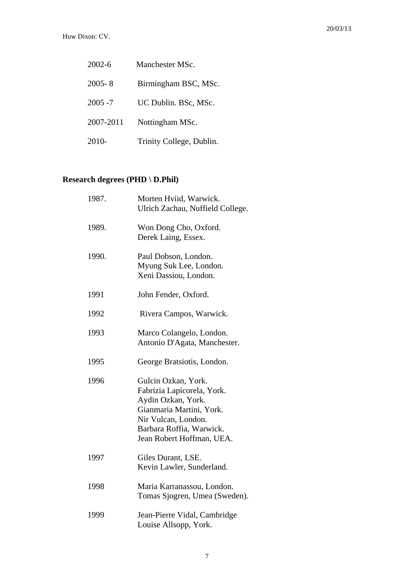| $2002 - 6$ | Manchester MSc.          |
|------------|--------------------------|
| $2005 - 8$ | Birmingham BSC, MSc.     |
| $2005 - 7$ | UC Dublin. BSc, MSc.     |
| 2007-2011  | Nottingham MSc.          |
| 2010-      | Trinity College, Dublin. |

## **Research degrees (PHD \ D.Phil)**

| 1987. | Morten Hviid, Warwick.<br>Ulrich Zachau, Nuffield College.                                                                                                                          |
|-------|-------------------------------------------------------------------------------------------------------------------------------------------------------------------------------------|
| 1989. | Won Dong Cho, Oxford.<br>Derek Laing, Essex.                                                                                                                                        |
| 1990. | Paul Dobson, London.<br>Myung Suk Lee, London.<br>Xeni Dassiou, London.                                                                                                             |
| 1991  | John Fender, Oxford.                                                                                                                                                                |
| 1992  | Rivera Campos, Warwick.                                                                                                                                                             |
| 1993  | Marco Colangelo, London.<br>Antonio D'Agata, Manchester.                                                                                                                            |
| 1995  | George Bratsiotis, London.                                                                                                                                                          |
| 1996  | Gulcin Ozkan, York.<br>Fabrizia Lapicorela, York.<br>Aydin Ozkan, York.<br>Gianmaria Martini, York.<br>Nir Vulcan, London.<br>Barbara Roffia, Warwick.<br>Jean Robert Hoffman, UEA. |
| 1997  | Giles Durant, LSE.<br>Kevin Lawler, Sunderland.                                                                                                                                     |
| 1998  | Maria Karranassou, London.<br>Tomas Sjogren, Umea (Sweden).                                                                                                                         |
| 1999  | Jean-Pierre Vidal, Cambridge<br>Louise Allsopp, York.                                                                                                                               |
|       |                                                                                                                                                                                     |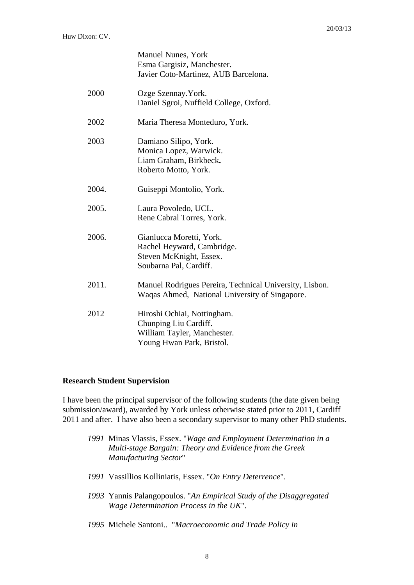|       | <b>Manuel Nunes, York</b><br>Esma Gargisiz, Manchester.        |
|-------|----------------------------------------------------------------|
|       | Javier Coto-Martinez, AUB Barcelona.                           |
| 2000  | Ozge Szennay. York.<br>Daniel Sgroi, Nuffield College, Oxford. |
|       |                                                                |
| 2002  | Maria Theresa Monteduro, York.                                 |
| 2003  | Damiano Silipo, York.                                          |
|       | Monica Lopez, Warwick.                                         |
|       | Liam Graham, Birkbeck.                                         |
|       | Roberto Motto, York.                                           |
| 2004. | Guiseppi Montolio, York.                                       |
| 2005. | Laura Povoledo, UCL.                                           |
|       | Rene Cabral Torres, York.                                      |
| 2006. | Gianlucca Moretti, York.                                       |
|       | Rachel Heyward, Cambridge.                                     |
|       | Steven McKnight, Essex.                                        |
|       | Soubarna Pal, Cardiff.                                         |
| 2011. | Manuel Rodrigues Pereira, Technical University, Lisbon.        |
|       | Waqas Ahmed, National University of Singapore.                 |
| 2012  | Hiroshi Ochiai, Nottingham.                                    |
|       | Chunping Liu Cardiff.                                          |
|       | William Tayler, Manchester.                                    |
|       | Young Hwan Park, Bristol.                                      |

#### **Research Student Supervision**

I have been the principal supervisor of the following students (the date given being submission/award), awarded by York unless otherwise stated prior to 2011, Cardiff 2011 and after. I have also been a secondary supervisor to many other PhD students.

- *1991* Minas Vlassis, Essex. "*Wage and Employment Determination in a Multi-stage Bargain: Theory and Evidence from the Greek Manufacturing Sector*"
- *1991* Vassillios Kolliniatis, Essex. "*On Entry Deterrence*".
- *1993* Yannis Palangopoulos. "*An Empirical Study of the Disaggregated Wage Determination Process in the UK*".
- *1995* Michele Santoni.. "*Macroeconomic and Trade Policy in*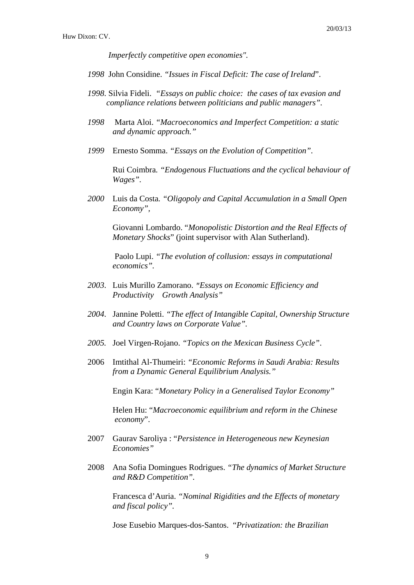*Imperfectly competitive open economies".* 

- *1998* John Considine. *"Issues in Fiscal Deficit: The case of Ireland*".
- *1998*. Silvia Fideli. *"Essays on public choice: the cases of tax evasion and compliance relations between politicians and public managers".*
- *1998* Marta Aloi. *"Macroeconomics and Imperfect Competition: a static and dynamic approach."*
- *1999* Ernesto Somma. *"Essays on the Evolution of Competition".*

Rui Coimbra*. "Endogenous Fluctuations and the cyclical behaviour of Wages".* 

*2000* Luis da Costa*. "Oligopoly and Capital Accumulation in a Small Open Economy",* 

Giovanni Lombardo. "*Monopolistic Distortion and the Real Effects of Monetary Shocks*" (joint supervisor with Alan Sutherland).

 Paolo Lupi. *"The evolution of collusion: essays in computational economics".*

- *2003*. Luis Murillo Zamorano. *"Essays on Economic Efficiency and Productivity Growth Analysis"*
- *2004*. Jannine Poletti. *"The effect of Intangible Capital, Ownership Structure and Country laws on Corporate Value".*
- *2005.* Joel Virgen-Rojano. *"Topics on the Mexican Business Cycle"*.
- 2006 Imtithal Al-Thumeiri: *"Economic Reforms in Saudi Arabia: Results from a Dynamic General Equilibrium Analysis."*

Engin Kara: "*Monetary Policy in a Generalised Taylor Economy"* 

 Helen Hu: "*Macroeconomic equilibrium and reform in the Chinese economy*".

- 2007 Gaurav Saroliya : "*Persistence in Heterogeneous new Keynesian Economies"*
- 2008 Ana Sofia Domingues Rodrigues. *"The dynamics of Market Structure and R&D Competition".*

Francesca d'Auria. *"Nominal Rigidities and the Effects of monetary and fiscal policy".* 

Jose Eusebio Marques-dos-Santos. "*Privatization: the Brazilian*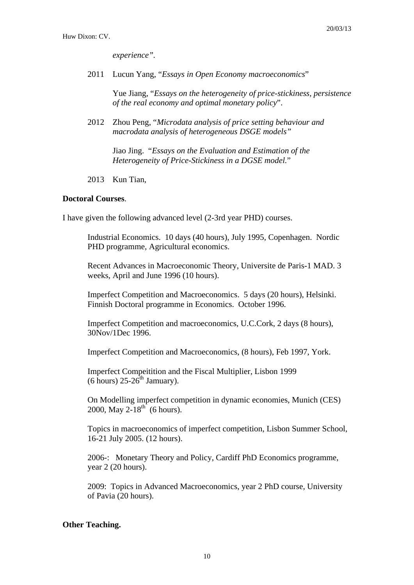*experience".* 

2011 Lucun Yang, "*Essays in Open Economy macroeconomics*"

 Yue Jiang, "*Essays on the heterogeneity of price-stickiness, persistence of the real economy and optimal monetary policy*".

2012 Zhou Peng, "*Microdata analysis of price setting behaviour and macrodata analysis of heterogeneous DSGE models"*

> Jiao Jing. "*Essays on the Evaluation and Estimation of the Heterogeneity of Price-Stickiness in a DGSE model.*"

2013 Kun Tian,

## **Doctoral Courses**.

I have given the following advanced level (2-3rd year PHD) courses.

Industrial Economics. 10 days (40 hours), July 1995, Copenhagen. Nordic PHD programme, Agricultural economics.

Recent Advances in Macroeconomic Theory, Universite de Paris-1 MAD. 3 weeks, April and June 1996 (10 hours).

Imperfect Competition and Macroeconomics. 5 days (20 hours), Helsinki. Finnish Doctoral programme in Economics. October 1996.

Imperfect Competition and macroeconomics, U.C.Cork, 2 days (8 hours), 30Nov/1Dec 1996.

Imperfect Competition and Macroeconomics, (8 hours), Feb 1997, York.

Imperfect Compeitition and the Fiscal Multiplier, Lisbon 1999  $(6 \text{ hours})$  25-26<sup>th</sup> Jamuary).

On Modelling imperfect competition in dynamic economies, Munich (CES) 2000, May  $2-18^{th}$  (6 hours).

Topics in macroeconomics of imperfect competition, Lisbon Summer School, 16-21 July 2005. (12 hours).

2006-: Monetary Theory and Policy, Cardiff PhD Economics programme, year 2 (20 hours).

2009: Topics in Advanced Macroeconomics, year 2 PhD course, University of Pavia (20 hours).

## **Other Teaching.**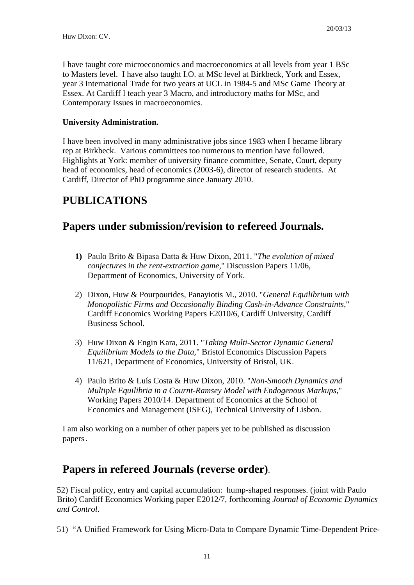I have taught core microeconomics and macroeconomics at all levels from year 1 BSc to Masters level. I have also taught I.O. at MSc level at Birkbeck, York and Essex, year 3 International Trade for two years at UCL in 1984-5 and MSc Game Theory at Essex. At Cardiff I teach year 3 Macro, and introductory maths for MSc, and Contemporary Issues in macroeconomics.

## **University Administration.**

I have been involved in many administrative jobs since 1983 when I became library rep at Birkbeck. Various committees too numerous to mention have followed. Highlights at York: member of university finance committee, Senate, Court, deputy head of economics, head of economics (2003-6), director of research students. At Cardiff, Director of PhD programme since January 2010.

## **PUBLICATIONS**

# **Papers under submission/revision to refereed Journals.**

- **1)** Paulo Brito & Bipasa Datta & Huw Dixon, 2011. "*The evolution of mixed conjectures in the rent-extraction game,*" Discussion Papers 11/06, Department of Economics, University of York.
- 2) Dixon, Huw & Pourpourides, Panayiotis M., 2010. "*General Equilibrium with Monopolistic Firms and Occasionally Binding Cash-in-Advance Constraints*," Cardiff Economics Working Papers E2010/6, Cardiff University, Cardiff Business School.
- 3) Huw Dixon & Engin Kara, 2011. "*Taking Multi-Sector Dynamic General Equilibrium Models to the Data,*" Bristol Economics Discussion Papers 11/621, Department of Economics, University of Bristol, UK.
- 4) Paulo Brito & Luís Costa & Huw Dixon, 2010. "*Non-Smooth Dynamics and Multiple Equilibria in a Cournt-Ramsey Model with Endogenous Markups*," Working Papers 2010/14. Department of Economics at the School of Economics and Management (ISEG), Technical University of Lisbon.

I am also working on a number of other papers yet to be published as discussion papers.

## **Papers in refereed Journals (reverse order)**.

52) Fiscal policy, entry and capital accumulation: hump-shaped responses. (joint with Paulo Brito) Cardiff Economics Working paper E2012/7, forthcoming *Journal of Economic Dynamics and Control*.

51) "A Unified Framework for Using Micro-Data to Compare Dynamic Time-Dependent Price-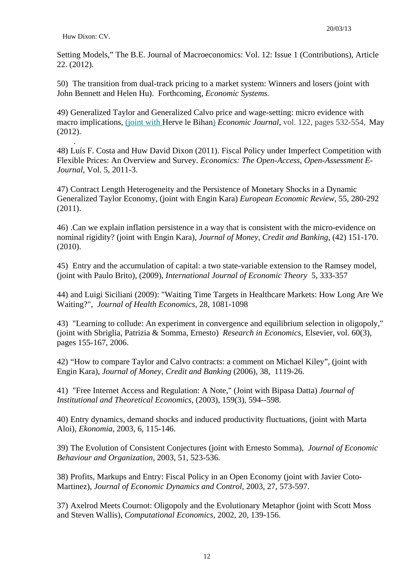.

Setting Models," The B.E. Journal of Macroeconomics: Vol. 12: Issue 1 (Contributions), Article 22. (2012).

50) The transition from dual-track pricing to a market system: Winners and losers (joint with John Bennett and Helen Hu). Forthcoming, *Economic Systems*.

49) Generalized Taylor and Generalized Calvo price and wage-setting: micro evidence with macro implications, (joint with Herve le Bihan) *Economic Journal*, vol. 122, pages 532-554, May (2012).

48) Luís F. Costa and Huw David Dixon (2011). Fiscal Policy under Imperfect Competition with Flexible Prices: An Overview and Survey. *Economics: The Open-Access, Open-Assessment E-Journal*, Vol. 5, 2011-3.

47) Contract Length Heterogeneity and the Persistence of Monetary Shocks in a Dynamic Generalized Taylor Economy, (joint with Engin Kara) *European Economic Review*, 55, 280-292 (2011).

46) .Can we explain inflation persistence in a way that is consistent with the micro-evidence on nominal rigidity? (joint with Engin Kara), *Journal of Money, Credit and Banking*, (42) 151-170. (2010).

45) Entry and the accumulation of capital: a two state-variable extension to the Ramsey model, (joint with Paulo Brito), (2009), *International Journal of Economic Theory* 5, 333-357

44) and Luigi Siciliani (2009): "Waiting Time Targets in Healthcare Markets: How Long Are We Waiting?", *Journal of Health Economics*, 28, 1081-1098

43) "Learning to collude: An experiment in convergence and equilibrium selection in oligopoly," (joint with Sbriglia, Patrizia & Somma, Ernesto) *Research in Economics*, Elsevier, vol. 60(3), pages 155-167, 2006.

42) "How to compare Taylor and Calvo contracts: a comment on Michael Kiley", (joint with Engin Kara), *Journal of Money, Credit and Banking* (2006), 38, 1119-26.

41) "Free Internet Access and Regulation: A Note," (Joint with Bipasa Datta) *Journal of Institutional and Theoretical Economics*, (2003), 159(3), 594--598.

40) Entry dynamics, demand shocks and induced productivity fluctuations, (joint with Marta Aloi), *Ekonomia*, 2003, 6, 115-146.

39) The Evolution of Consistent Conjectures (joint with Ernesto Somma), *Journal of Economic Behaviour and Organization*, 2003, 51, 523-536.

38) Profits, Markups and Entry: Fiscal Policy in an Open Economy (joint with Javier Coto-Martinez), *Journal of Economic Dynamics and Control*, 2003, 27, 573-597.

37) Axelrod Meets Cournot: Oligopoly and the Evolutionary Metaphor (joint with Scott Moss and Steven Wallis), *Computational Economics*, 2002, 20, 139-156.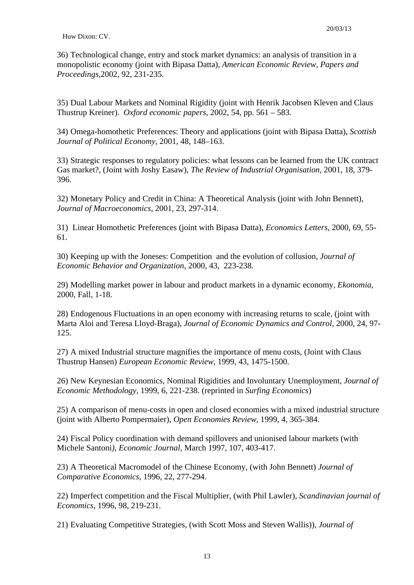36) Technological change, entry and stock market dynamics: an analysis of transition in a monopolistic economy (joint with Bipasa Datta), *American Economic Review, Papers and Proceedings,*2002, 92, 231-235*.*

35) Dual Labour Markets and Nominal Rigidity (joint with Henrik Jacobsen Kleven and Claus Thustrup Kreiner). *Oxford economic papers*, 2002, 54, pp. 561 – 583.

34) Omega-homothetic Preferences: Theory and applications (joint with Bipasa Datta), *Scottish Journal of Political Economy,* 2001, 48, 148–163.

33) Strategic responses to regulatory policies: what lessons can be learned from the UK contract Gas market?, (Joint with Joshy Easaw), *The Review of Industrial Organisation*, 2001, 18, 379- 396.

32) Monetary Policy and Credit in China: A Theoretical Analysis (joint with John Bennett), *Journal of Macroeconomics*, 2001, 23, 297-314.

31) Linear Homothetic Preferences (joint with Bipasa Datta), *Economics Letters*, 2000, 69, 55- 61.

30) Keeping up with the Joneses: Competition and the evolution of collusion, *Journal of Economic Behavior and Organization*, 2000, 43, 223-238*.*

29) Modelling market power in labour and product markets in a dynamic economy, *Ekonomia*, 2000, Fall, 1-18.

28) Endogenous Fluctuations in an open economy with increasing returns to scale, (joint with Marta Aloi and Teresa Lloyd-Braga), *Journal of Economic Dynamics and Control*, 2000, 24, 97- 125.

27) A mixed Industrial structure magnifies the importance of menu costs, (Joint with Claus Thustrup Hansen) *European Economic Review*, 1999, 43, 1475-1500.

26) New Keynesian Economics, Nominal Rigidities and Involuntary Unemployment, *Journal of Economic Methodology,* 1999, 6, 221-238. (reprinted in *Surfing Economics*)

25) A comparison of menu-costs in open and closed economies with a mixed industrial structure (joint with Alberto Pompermaier), *Open Economies Review,* 1999, 4, 365-384.

24) Fiscal Policy coordination with demand spillovers and unionised labour markets (with Michele Santoni*), Economic Journal*, March 1997, 107, 403-417.

23) A Theoretical Macromodel of the Chinese Economy, (with John Bennett) *Journal of Comparative Economics*, 1996, 22, 277-294.

22) Imperfect competition and the Fiscal Multiplier, (with Phil Lawler), *Scandinavian journal of Economics*, 1996, 98, 219-231.

21) Evaluating Competitive Strategies, (with Scott Moss and Steven Wallis)), *Journal of*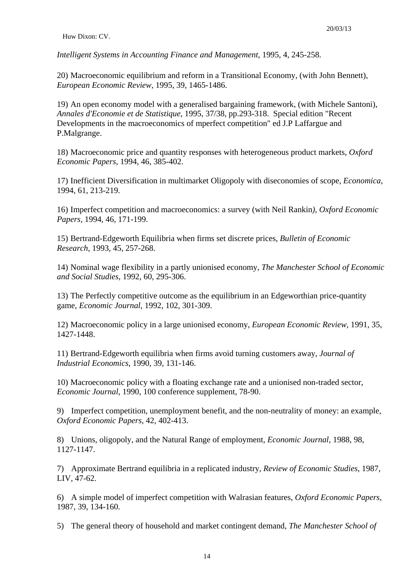*Intelligent Systems in Accounting Finance and Management*, 1995, 4, 245-258.

20) Macroeconomic equilibrium and reform in a Transitional Economy, (with John Bennett), *European Economic Review*, 1995, 39, 1465-1486.

19) An open economy model with a generalised bargaining framework, (with Michele Santoni), *Annales d'Economie et de Statistique*, 1995, 37/38, pp.293-318. Special edition "Recent Developments in the macroeconomics of mperfect competition" ed J.P Laffargue and P.Malgrange.

18) Macroeconomic price and quantity responses with heterogeneous product markets, *Oxford Economic Papers*, 1994, 46, 385-402.

17) Inefficient Diversification in multimarket Oligopoly with diseconomies of scope, *Economica*, 1994, 61, 213-219.

16) Imperfect competition and macroeconomics: a survey (with Neil Rankin*), Oxford Economic Papers,* 1994, 46, 171-199.

15) Bertrand-Edgeworth Equilibria when firms set discrete prices, *Bulletin of Economic Research*, 1993, 45, 257-268.

14) Nominal wage flexibility in a partly unionised economy, *The Manchester School of Economic and Social Studies*, 1992, 60, 295-306.

13) The Perfectly competitive outcome as the equilibrium in an Edgeworthian price-quantity game, *Economic Journal*, 1992, 102, 301-309.

12) Macroeconomic policy in a large unionised economy, *European Economic Review*, 1991, 35, 1427-1448.

11) Bertrand-Edgeworth equilibria when firms avoid turning customers away, *Journal of Industrial Economics*, 1990, 39, 131-146.

10) Macroeconomic policy with a floating exchange rate and a unionised non-traded sector, *Economic Journal*, 1990, 100 conference supplement, 78-90.

9) Imperfect competition, unemployment benefit, and the non-neutrality of money: an example, *Oxford Economic Papers*, 42, 402-413.

8) Unions, oligopoly, and the Natural Range of employment, *Economic Journal*, 1988, 98, 1127-1147.

7) Approximate Bertrand equilibria in a replicated industry, *Review of Economic Studies*, 1987, LIV, 47-62.

6) A simple model of imperfect competition with Walrasian features, *Oxford Economic Papers*, 1987, 39, 134-160.

5) The general theory of household and market contingent demand, *The Manchester School of*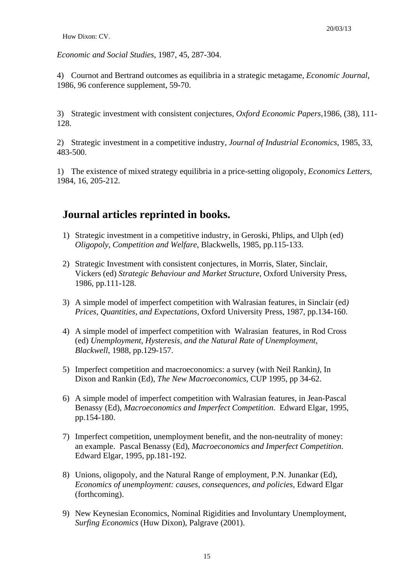*Economic and Social Studies*, 1987, 45, 287-304.

4) Cournot and Bertrand outcomes as equilibria in a strategic metagame, *Economic Journal*, 1986, 96 conference supplement, 59-70.

3) Strategic investment with consistent conjectures, *Oxford Economic Papers*,1986, (38), 111- 128.

2) Strategic investment in a competitive industry, *Journal of Industrial Economics*, 1985, 33, 483-500.

1) The existence of mixed strategy equilibria in a price-setting oligopoly, *Economics Letters*, 1984, 16, 205-212.

# **Journal articles reprinted in books.**

- 1) Strategic investment in a competitive industry, in Geroski, Phlips, and Ulph (ed) *Oligopoly, Competition and Welfare*, Blackwells, 1985, pp.115-133.
- 2) Strategic Investment with consistent conjectures, in Morris, Slater, Sinclair, Vickers (ed) *Strategic Behaviour and Market Structure*, Oxford University Press, 1986, pp.111-128.
- 3) A simple model of imperfect competition with Walrasian features, in Sinclair (ed*) Prices, Quantities, and Expectations*, Oxford University Press, 1987, pp.134-160.
- 4) A simple model of imperfect competition with Walrasian features, in Rod Cross (ed) *Unemployment, Hysteresis, and the Natural Rate of Unemployment, Blackwell*, 1988, pp.129-157.
- 5) Imperfect competition and macroeconomics: a survey (with Neil Rankin*),* In Dixon and Rankin (Ed), *The New Macroeconomics*, CUP 1995, pp 34-62.
- 6) A simple model of imperfect competition with Walrasian features, in Jean-Pascal Benassy (Ed), *Macroeconomics and Imperfect Competition*. Edward Elgar, 1995, pp.154-180.
- 7) Imperfect competition, unemployment benefit, and the non-neutrality of money: an example. Pascal Benassy (Ed), *Macroeconomics and Imperfect Competition*. Edward Elgar, 1995, pp.181-192.
- 8) Unions, oligopoly, and the Natural Range of employment, P.N. Junankar (Ed), *Economics of unemployment: causes, consequences, and policies,* Edward Elgar (forthcoming).
- 9) New Keynesian Economics, Nominal Rigidities and Involuntary Unemployment, *Surfing Economics* (Huw Dixon), Palgrave (2001).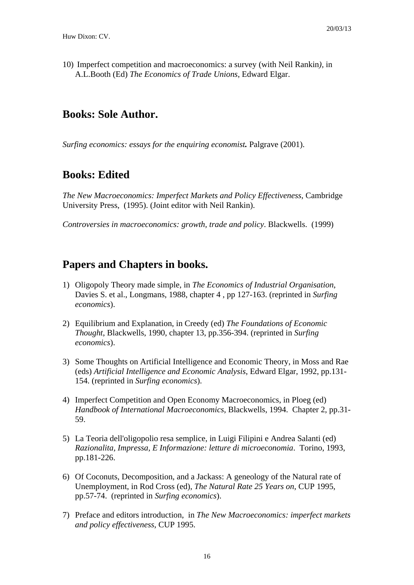10) Imperfect competition and macroeconomics: a survey (with Neil Rankin*),* in A.L.Booth (Ed) *The Economics of Trade Unions*, Edward Elgar.

# **Books: Sole Author.**

*Surfing economics: essays for the enquiring economist.* Palgrave (2001).

# **Books: Edited**

*The New Macroeconomics: Imperfect Markets and Policy Effectiveness*, Cambridge University Press, (1995). (Joint editor with Neil Rankin).

*Controversies in macroeconomics: growth, trade and policy*. Blackwells. (1999)

# **Papers and Chapters in books.**

- 1) Oligopoly Theory made simple, in *The Economics of Industrial Organisation*, Davies S. et al., Longmans, 1988, chapter 4 , pp 127-163. (reprinted in *Surfing economics*).
- 2) Equilibrium and Explanation, in Creedy (ed) *The Foundations of Economic Thought*, Blackwells, 1990, chapter 13, pp.356-394. (reprinted in *Surfing economics*).
- 3) Some Thoughts on Artificial Intelligence and Economic Theory, in Moss and Rae (eds) *Artificial Intelligence and Economic Analysis*, Edward Elgar, 1992, pp.131- 154. (reprinted in *Surfing economics*).
- 4) Imperfect Competition and Open Economy Macroeconomics, in Ploeg (ed) *Handbook of International Macroeconomics*, Blackwells, 1994. Chapter 2, pp.31- 59.
- 5) La Teoria dell'oligopolio resa semplice, in Luigi Filipini e Andrea Salanti (ed) *Razionalita, Impressa, E Informazione: letture di microeconomia*. Torino, 1993, pp.181-226.
- 6) Of Coconuts, Decomposition, and a Jackass: A geneology of the Natural rate of Unemployment, in Rod Cross (ed), *The Natural Rate 25 Years on*, CUP 1995, pp.57-74. (reprinted in *Surfing economics*).
- 7) Preface and editors introduction, in *The New Macroeconomics: imperfect markets and policy effectiveness*, CUP 1995.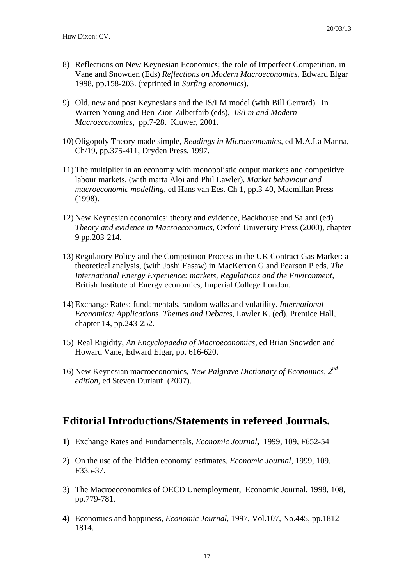- 8) Reflections on New Keynesian Economics; the role of Imperfect Competition, in Vane and Snowden (Eds) *Reflections on Modern Macroeconomics*, Edward Elgar 1998, pp.158-203. (reprinted in *Surfing economics*).
- 9) Old, new and post Keynesians and the IS/LM model (with Bill Gerrard). In Warren Young and Ben-Zion Zilberfarb (eds), *IS/Lm and Modern Macroeconomics*, pp.7-28. Kluwer, 2001.
- 10) Oligopoly Theory made simple, *Readings in Microeconomics*, ed M.A.La Manna, Ch/19, pp.375-411, Dryden Press, 1997.
- 11) The multiplier in an economy with monopolistic output markets and competitive labour markets, (with marta Aloi and Phil Lawler). *Market behaviour and macroeconomic modelling*, ed Hans van Ees. Ch 1, pp.3-40, Macmillan Press (1998).
- 12) New Keynesian economics: theory and evidence, Backhouse and Salanti (ed) *Theory and evidence in Macroeconomics*, Oxford University Press (2000), chapter 9 pp.203-214.
- 13) Regulatory Policy and the Competition Process in the UK Contract Gas Market: a theoretical analysis, (with Joshi Easaw) in MacKerron G and Pearson P eds, *The International Energy Experience: markets, Regulations and the Environment*, British Institute of Energy economics, Imperial College London.
- 14) Exchange Rates: fundamentals, random walks and volatility. *International Economics: Applications, Themes and Debates*, Lawler K. (ed). Prentice Hall, chapter 14, pp.243-252.
- 15) Real Rigidity, *An Encyclopaedia of Macroeconomics,* ed Brian Snowden and Howard Vane, Edward Elgar, pp. 616-620.
- 16) New Keynesian macroeconomics, *New Palgrave Dictionary of Economics, 2nd edition*, ed Steven Durlauf (2007).

## **Editorial Introductions/Statements in refereed Journals.**

- **1)** Exchange Rates and Fundamentals, *Economic Journal***,** 1999, 109, F652-54
- 2) On the use of the 'hidden economy' estimates, *Economic Journal*, 1999, 109, F335-37.
- 3) The Macroecconomics of OECD Unemployment, Economic Journal, 1998, 108, pp.779-781.
- **4)** Economics and happiness, *Economic Journal*, 1997, Vol.107, No.445, pp.1812- 1814.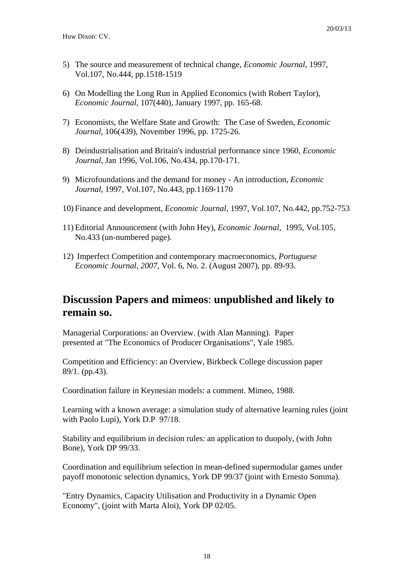- 5) The source and measurement of technical change, *Economic Journal*, 1997, Vol.107, No.444, pp.1518-1519
- 6) On Modelling the Long Run in Applied Economics (with Robert Taylor), *Economic Journal*, 107(440), January 1997, pp. 165-68.
- 7) Economists, the Welfare State and Growth: The Case of Sweden, *Economic Journal*, 106(439), November 1996, pp. 1725-26.
- 8) Deindustrialisation and Britain's industrial performance since 1960, *Economic Journal*, Jan 1996, Vol.106, No.434, pp.170-171.
- 9) Microfoundations and the demand for money An introduction, *Economic Journal*, 1997, Vol.107, No.443, pp.1169-1170
- 10) Finance and development, *Economic Journal*, 1997, Vol.107, No.442, pp.752-753
- 11) Editorial Announcement (with John Hey), *Economic Journal*, 1995, Vol.105, No.433 (un-numbered page).
- 12) Imperfect Competition and contemporary macroeconomics, *Portuguese Economic Journal, 2007*, Vol. 6, No. 2. (August 2007), pp. 89-93.

# **Discussion Papers and mimeos**: **unpublished and likely to remain so.**

Managerial Corporations: an Overview. (with Alan Manning). Paper presented at "The Economics of Producer Organisations", Yale 1985.

Competition and Efficiency: an Overview, Birkbeck College discussion paper 89/1. (pp.43).

Coordination failure in Keynesian models: a comment. Mimeo, 1988.

Learning with a known average: a simulation study of alternative learning rules (joint with Paolo Lupi), York D.P 97/18.

Stability and equilibrium in decision rules: an application to duopoly, (with John Bone), York DP 99/33.

Coordination and equilibrium selection in mean-defined supermodular games under payoff monotonic selection dynamics, York DP 99/37 (joint with Ernesto Somma).

"Entry Dynamics, Capacity Utilisation and Productivity in a Dynamic Open Economy", (joint with Marta Aloi), York DP 02/05.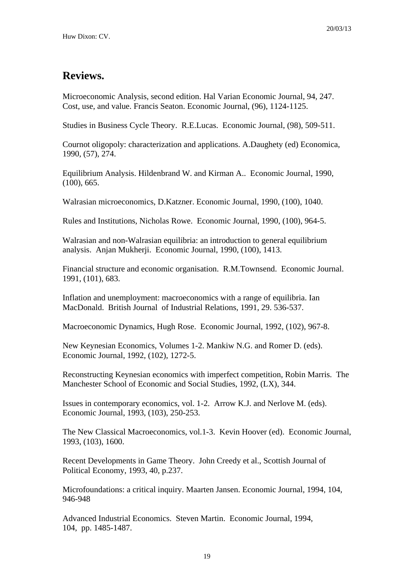## **Reviews.**

Microeconomic Analysis, second edition. Hal Varian Economic Journal, 94, 247. Cost, use, and value. Francis Seaton. Economic Journal, (96), 1124-1125.

Studies in Business Cycle Theory. R.E.Lucas. Economic Journal, (98), 509-511.

Cournot oligopoly: characterization and applications. A.Daughety (ed) Economica, 1990, (57), 274.

Equilibrium Analysis. Hildenbrand W. and Kirman A.. Economic Journal, 1990, (100), 665.

Walrasian microeconomics, D.Katzner. Economic Journal, 1990, (100), 1040.

Rules and Institutions, Nicholas Rowe. Economic Journal, 1990, (100), 964-5.

Walrasian and non-Walrasian equilibria: an introduction to general equilibrium analysis. Anjan Mukherji. Economic Journal, 1990, (100), 1413.

Financial structure and economic organisation. R.M.Townsend. Economic Journal. 1991, (101), 683.

Inflation and unemployment: macroeconomics with a range of equilibria. Ian MacDonald. British Journal of Industrial Relations, 1991, 29. 536-537.

Macroeconomic Dynamics, Hugh Rose. Economic Journal, 1992, (102), 967-8.

New Keynesian Economics, Volumes 1-2. Mankiw N.G. and Romer D. (eds). Economic Journal, 1992, (102), 1272-5.

Reconstructing Keynesian economics with imperfect competition, Robin Marris. The Manchester School of Economic and Social Studies, 1992, (LX), 344.

Issues in contemporary economics, vol. 1-2. Arrow K.J. and Nerlove M. (eds). Economic Journal, 1993, (103), 250-253.

The New Classical Macroeconomics, vol.1-3. Kevin Hoover (ed). Economic Journal, 1993, (103), 1600.

Recent Developments in Game Theory. John Creedy et al., Scottish Journal of Political Economy, 1993, 40, p.237.

Microfoundations: a critical inquiry. Maarten Jansen. Economic Journal, 1994, 104, 946-948

Advanced Industrial Economics. Steven Martin. Economic Journal, 1994, 104, pp. 1485-1487.